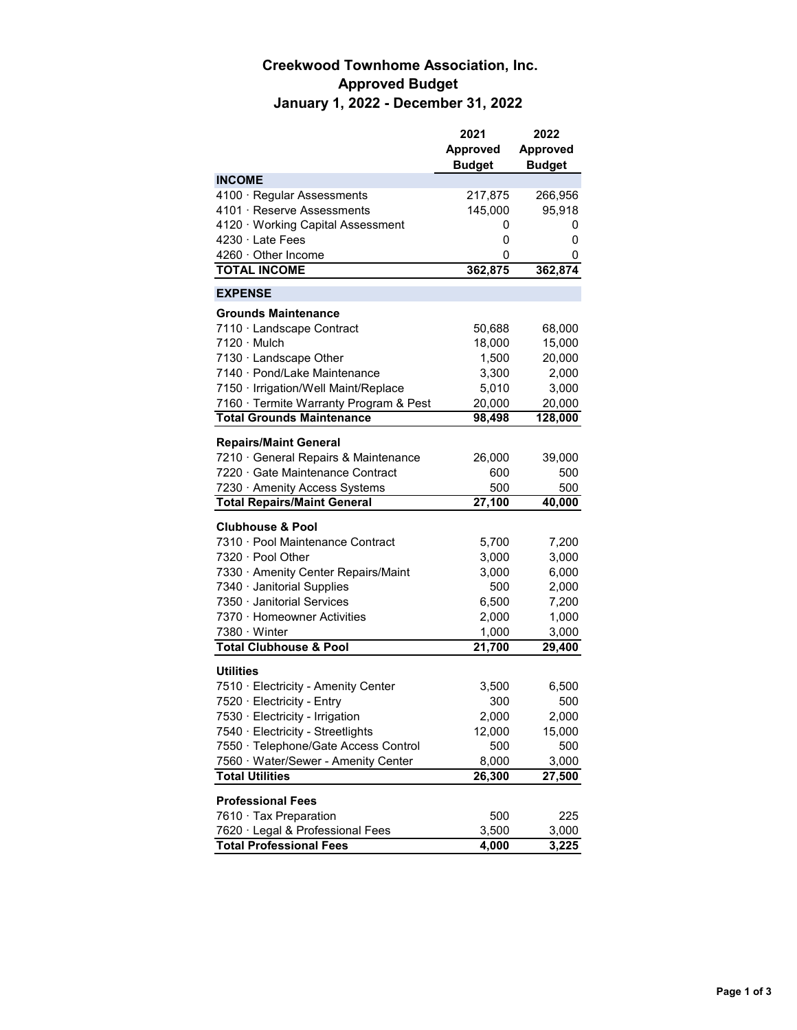## **Creekwood Townhome Association, Inc. Approved Budget January 1, 2022 - December 31, 2022**

|                                                 | 2021            | 2022                |
|-------------------------------------------------|-----------------|---------------------|
|                                                 | <b>Approved</b> | <b>Approved</b>     |
|                                                 | <b>Budget</b>   | <b>Budget</b>       |
| <b>INCOME</b>                                   |                 |                     |
| 4100 · Regular Assessments                      | 217,875         | 266,956             |
| 4101 · Reserve Assessments                      | 145,000         | 95,918              |
| 4120 · Working Capital Assessment               | 0               | 0                   |
| $4230 \cdot$ Late Fees                          | 0               | 0                   |
| $4260 \cdot$ Other Income                       | 0               | 0                   |
| <b>TOTAL INCOME</b>                             | 362,875         | 362,874             |
| <b>EXPENSE</b>                                  |                 |                     |
| <b>Grounds Maintenance</b>                      |                 |                     |
|                                                 |                 |                     |
| 7110 · Landscape Contract<br>$7120 \cdot$ Mulch | 50,688          | 68,000              |
|                                                 | 18,000          | 15,000              |
| 7130 · Landscape Other                          | 1,500           | 20,000              |
| 7140 · Pond/Lake Maintenance                    | 3,300           | 2,000               |
| 7150 · Irrigation/Well Maint/Replace            | 5,010           | 3,000               |
| 7160 · Termite Warranty Program & Pest          | 20,000          | 20,000              |
| <b>Total Grounds Maintenance</b>                | 98,498          | 128,000             |
| <b>Repairs/Maint General</b>                    |                 |                     |
| 7210 General Repairs & Maintenance              | 26,000          | 39,000              |
| 7220 Gate Maintenance Contract                  | 600             | 500                 |
| 7230 · Amenity Access Systems                   | 500             | 500                 |
| <b>Total Repairs/Maint General</b>              | 27,100          | 40,000              |
| <b>Clubhouse &amp; Pool</b>                     |                 |                     |
| 7310 · Pool Maintenance Contract                | 5,700           | 7,200               |
| 7320 · Pool Other                               | 3,000           | 3,000               |
| 7330 Amenity Center Repairs/Maint               | 3,000           | 6,000               |
| 7340 · Janitorial Supplies                      | 500             | 2,000               |
| 7350 · Janitorial Services                      |                 |                     |
| 7370 · Homeowner Activities                     | 6,500           | 7,200               |
| $7380 \cdot$ Winter                             | 2,000           | 1,000               |
| <b>Total Clubhouse &amp; Pool</b>               | 1,000<br>21,700 | 3,000<br>29,400     |
|                                                 |                 |                     |
| <b>Utilities</b>                                |                 |                     |
| 7510 · Electricity - Amenity Center             | 3,500           | 6,500               |
| 7520 · Electricity - Entry                      | 300             | 500                 |
| 7530 · Electricity - Irrigation                 | 2,000           | 2,000               |
| 7540 · Electricity - Streetlights               | 12,000          | 15,000              |
| 7550 · Telephone/Gate Access Control            | 500             | 500                 |
| 7560 · Water/Sewer - Amenity Center             | 8,000           | 3,000               |
| <b>Total Utilities</b>                          | 26,300          | $\overline{27,500}$ |
| <b>Professional Fees</b>                        |                 |                     |
| 7610 Tax Preparation                            | 500             | 225                 |
| 7620 · Legal & Professional Fees                | 3,500           | 3,000               |
| <b>Total Professional Fees</b>                  | 4,000           | 3,225               |
|                                                 |                 |                     |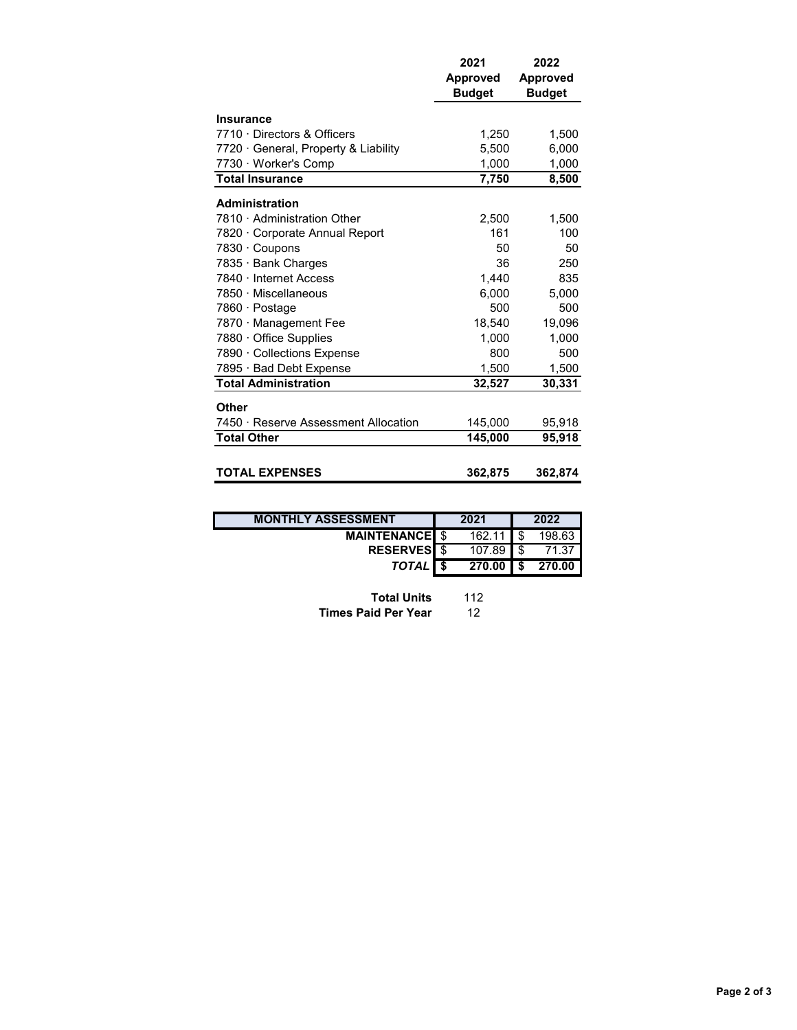|                                      | 2021<br><b>Approved</b><br><b>Budget</b> | 2022<br><b>Approved</b><br><b>Budget</b> |
|--------------------------------------|------------------------------------------|------------------------------------------|
| <b>Insurance</b>                     |                                          |                                          |
| 7710 Directors & Officers            | 1,250                                    | 1,500                                    |
| 7720 General, Property & Liability   | 5,500                                    | 6,000                                    |
| 7730 · Worker's Comp                 | 1,000                                    | 1,000                                    |
| <b>Total Insurance</b>               | 7,750                                    | 8,500                                    |
| <b>Administration</b>                |                                          |                                          |
| 7810 Administration Other            | 2,500                                    | 1,500                                    |
| 7820 Corporate Annual Report         | 161                                      | 100                                      |
| 7830 · Coupons                       | 50                                       | 50                                       |
| 7835 · Bank Charges                  | 36                                       | 250                                      |
| 7840 · Internet Access               | 1,440                                    | 835                                      |
| 7850 · Miscellaneous                 | 6.000                                    | 5.000                                    |
| 7860 · Postage                       | 500                                      | 500                                      |
| 7870 · Management Fee                | 18,540                                   | 19,096                                   |
| 7880 · Office Supplies               | 1,000                                    | 1,000                                    |
| 7890 · Collections Expense           | 800                                      | 500                                      |
| 7895 · Bad Debt Expense              | 1,500                                    | 1,500                                    |
| <b>Total Administration</b>          | 32,527                                   | 30,331                                   |
| Other                                |                                          |                                          |
| 7450 · Reserve Assessment Allocation | 145,000                                  | 95,918                                   |
| <b>Total Other</b>                   | 145,000                                  | 95,918                                   |
|                                      |                                          |                                          |
| <b>TOTAL EXPENSES</b>                | 362,875                                  | 362,874                                  |

| <b>MONTHLY ASSESSMENT</b> | 2021                | 2022   |
|---------------------------|---------------------|--------|
| <b>MAINTENANCEL \$</b>    | $162.11$ S          | 198.63 |
| <b>RESERVES</b> \$        | $107.89$ \$         | 71.37  |
| TOTAL S                   | $270.00$ $\vert$ \$ | 270.00 |

| <b>Total Units</b>         | 112 |
|----------------------------|-----|
| <b>Times Paid Per Year</b> | 12  |